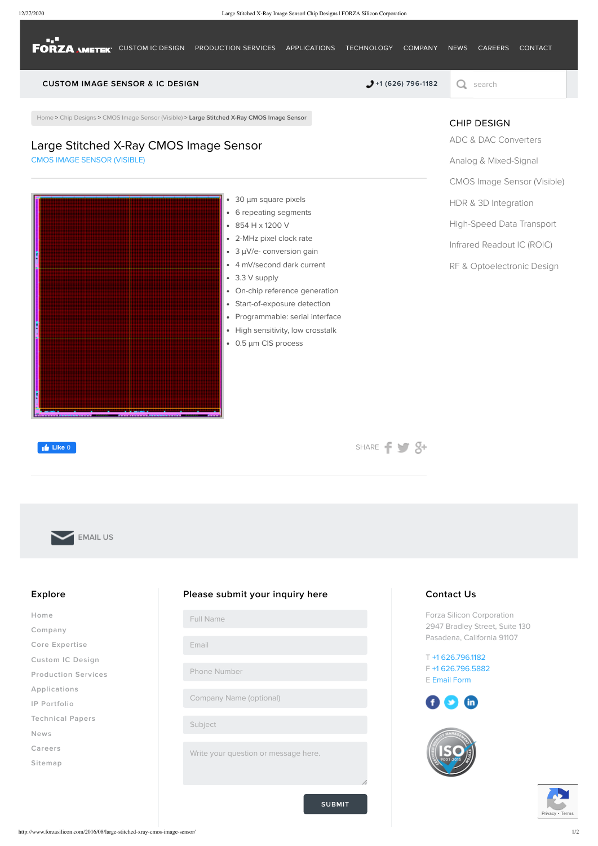**FORZA AMETEK** [CUSTOM](http://www.forzasilicon.com/core-expertise/) IC DESIGN [PRODUCTION](http://www.forzasilicon.com/production-services/) SERVICES [APPLICATIONS](http://www.forzasilicon.com/applications/) [TECHNOLOGY](http://www.forzasilicon.com/foundry-partners-processes/) [COMPANY](http://www.forzasilicon.com/fact-sheet/) [NEWS](http://www.forzasilicon.com/category/news/press-releases/) [CAREERS](http://www.forzasilicon.com/career-jobs/) [CONTACT](http://www.forzasilicon.com/contact/)

### CUSTOM IMAGE SENSOR & IC DESIGN  $\bullet$  +1 (626) [796-1182](tel:+1 (626) 796-1182)  $\circ$  search

[Home](http://www.forzasilicon.com/) > Chip [Designs](http://www.forzasilicon.com/category/chip-designs/) > CMOS Image Sensor [\(Visible\)](http://www.forzasilicon.com/category/chip-designs/cmos-image-sensor-designs/) > Large Stitched X-Ray CMOS Image Sensor

# Large Stitched X-Ray CMOS Image Sensor

• 30 µm square pixels 6 repeating segments 854 H x 1200 V 2-MHz pixel clock rate • 3 µV/e- conversion gain 4 mV/second dark current 3.3 V supply On-chip reference generation Start-of-exposure detection Programmable: serial interface • High sensitivity, low crosstalk 0.5 µm CIS process HDR & 3D [Integration](http://www.forzasilicon.com/category/chip-designs/hdr-3d-integration-chip-designs/) [High-Speed](http://www.forzasilicon.com/category/chip-designs/high-speed-data-transport-chip-designs/) Data Transport Infrared [Readout](http://www.forzasilicon.com/category/chip-designs/infrared-readout-ic-roic-chip-designs/) IC (ROIC) RF & [Optoelectronic](http://www.forzasilicon.com/category/chip-designs/rf-and-optoelectronic-design-chip-designs/) Design

CMOS IMAGE SENSOR [\(VISIBLE\)](http://www.forzasilicon.com/category/chip-designs/cmos-image-sensor-designs/)

**Like** 0

[SHARE](http://www.facebook.com/sharer.php?u=http://www.forzasilicon.com/2016/08/large-stitched-xray-cmos-image-sensor/&t=Large%20Stitched%20X-Ray%20CMOS%20Image%20Sensor)  $\rightarrow$   $\rightarrow$ 

[EMAIL](mailto:info.forza@ametek.com) US

# CHIP DESIGN

ADC & DAC [Converters](http://www.forzasilicon.com/category/chip-designs/adc-and-dac-converters-chip-designs/)

#### Analog & [Mixed-Signal](http://www.forzasilicon.com/category/chip-designs/analog-mixed-signal-chip-designs/)

CMOS Image Sensor [\(Visible\)](http://www.forzasilicon.com/category/chip-designs/cmos-image-sensor-designs/)

#### Explore

[Home](http://www.forzasilicon.com/)

[Company](http://www.forzasilicon.com/fact-sheet/)

Core [Expertise](http://www.forzasilicon.com/core-expertise/)

[Custom](http://www.forzasilicon.com/services/) IC Design

[Production](http://www.forzasilicon.com/production-services/) Services

[Applications](http://www.forzasilicon.com/applications/)

IP [Portfolio](http://www.forzasilicon.com/ip-portfolio/)

[Technical](http://www.forzasilicon.com/category/technical-papers/) Papers

[News](http://www.forzasilicon.com/category/news/press-releases/)

[Careers](http://www.forzasilicon.com/career-jobs/)

[Sitemap](http://www.forzasilicon.com/sitemap/)

SUBMIT

#### Please submit your inquiry here

Full Name

Email

Phone Number

Company Name (optional)

Subject

Write your question or message here.

## Contact Us

Forza Silicon Corporation 2947 Bradley Street, Suite 130 Pasadena, California 91107

T +1 [626.796.1182](tel:+16267961182) F +1 [626.796.5882](tel:6267965882) E [Email](http://www.forzasilicon.com/contact/) Form

 $\mathbf{f}$  $\mathbf{C}$